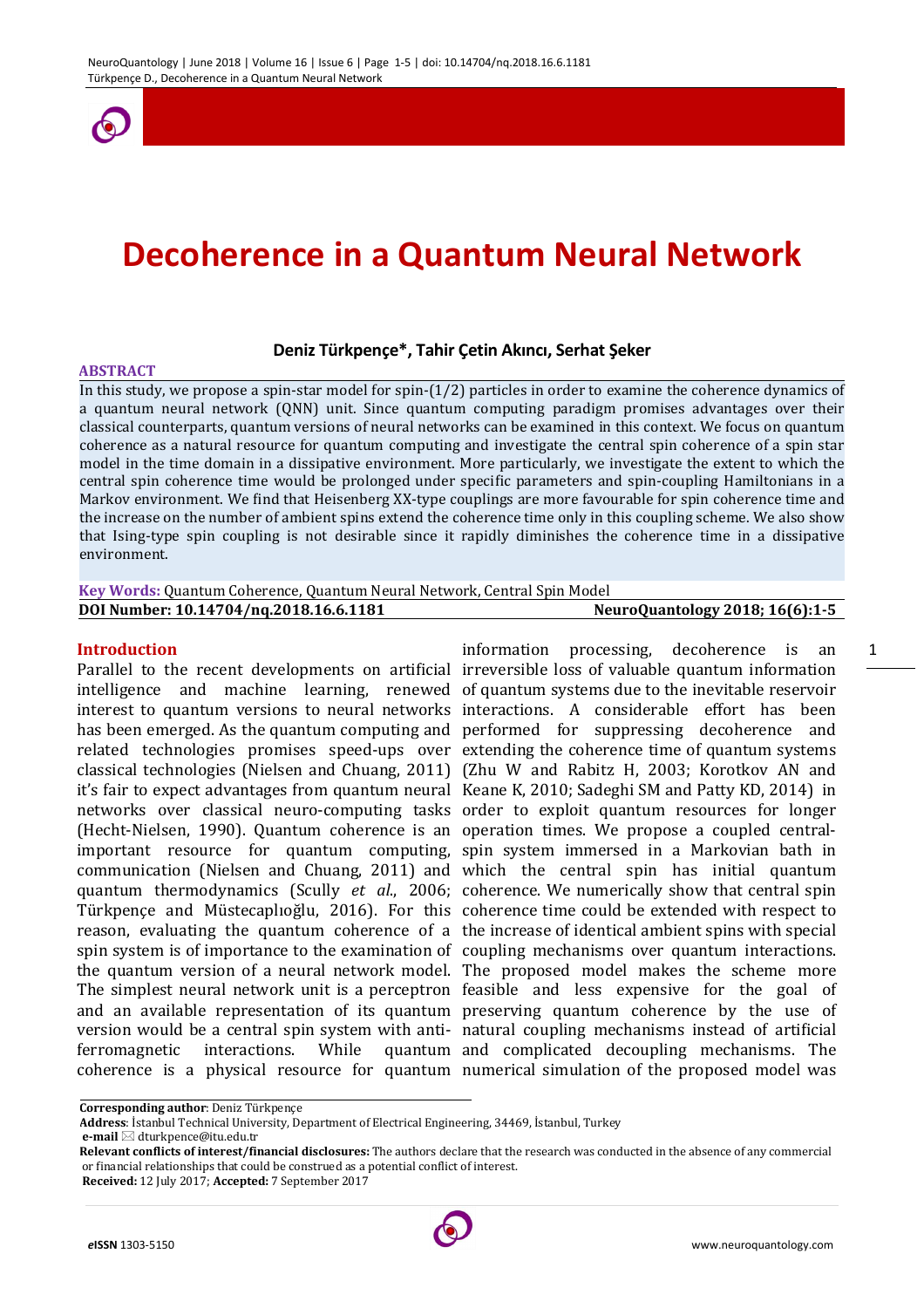

# **Decoherence in a Quantum Neural Network**

## **Deniz Türkpençe\*, Tahir Çetin Akıncı, Serhat Şeker**

#### **ABSTRACT**

In this study, we propose a spin-star model for spin-(1/2) particles in order to examine the coherence dynamics of a quantum neural network (QNN) unit. Since quantum computing paradigm promises advantages over their classical counterparts, quantum versions of neural networks can be examined in this context. We focus on quantum coherence as a natural resource for quantum computing and investigate the central spin coherence of a spin star model in the time domain in a dissipative environment. More particularly, we investigate the extent to which the central spin coherence time would be prolonged under specific parameters and spin-coupling Hamiltonians in a Markov environment. We find that Heisenberg XX-type couplings are more favourable for spin coherence time and the increase on the number of ambient spins extend the coherence time only in this coupling scheme. We also show that Ising-type spin coupling is not desirable since it rapidly diminishes the coherence time in a dissipative environment.

| Key Words: Quantum Coherence, Quantum Neural Network, Central Spin Model |                                        |
|--------------------------------------------------------------------------|----------------------------------------|
| DOI Number: 10.14704/ng.2018.16.6.1181                                   | <b>NeuroQuantology 2018; 16(6):1-5</b> |

#### **Introduction**

Parallel to the recent developments on artificial irreversible loss of valuable quantum information intelligence and machine learning, renewed of quantum systems due to the inevitable reservoir interest to quantum versions to neural networks interactions. A considerable effort has been has been emerged. As the quantum computing and performed for suppressing decoherence and related technologies promises speed-ups over extending the coherence time of quantum systems classical technologies (Nielsen and Chuang, 2011) (Zhu W and Rabitz H, 2003; Korotkov AN and it's fair to expect advantages from quantum neural Keane K, 2010; Sadeghi SM and Patty KD, 2014) in networks over classical neuro-computing tasks order to exploit quantum resources for longer (Hecht-Nielsen, 1990). Quantum coherence is an operation times. We propose a coupled centralimportant resource for quantum computing, spin system immersed in a Markovian bath in communication (Nielsen and Chuang, 2011) and which the central spin has initial quantum quantum thermodynamics (Scully *et al*., 2006; coherence. We numerically show that central spin Türkpençe and Müstecaplıoğlu, 2016). For this coherence time could be extended with respect to reason, evaluating the quantum coherence of a the increase of identical ambient spins with special spin system is of importance to the examination of coupling mechanisms over quantum interactions. the quantum version of a neural network model. The proposed model makes the scheme more The simplest neural network unit is a perceptron feasible and less expensive for the goal of and an available representation of its quantum preserving quantum coherence by the use of version would be a central spin system with anti-natural coupling mechanisms instead of artificial ferromagnetic interactions. While coherence is a physical resource for quantum numerical simulation of the proposed model was

information processing, decoherence is an and complicated decoupling mechanisms. The

1

**Corresponding author**: Deniz Türkpençe

**Address**: İstanbul Technical University, Department of Electrical Engineering, 34469, İstanbul, Turkey

**e-mail** dturkpence@itu.edu.tr

**Relevant conflicts of interest/financial disclosures:** The authors declare that the research was conducted in the absence of any commercial or financial relationships that could be construed as a potential conflict of interest.

**Received:** 12 July 2017; **Accepted:** 7 September 2017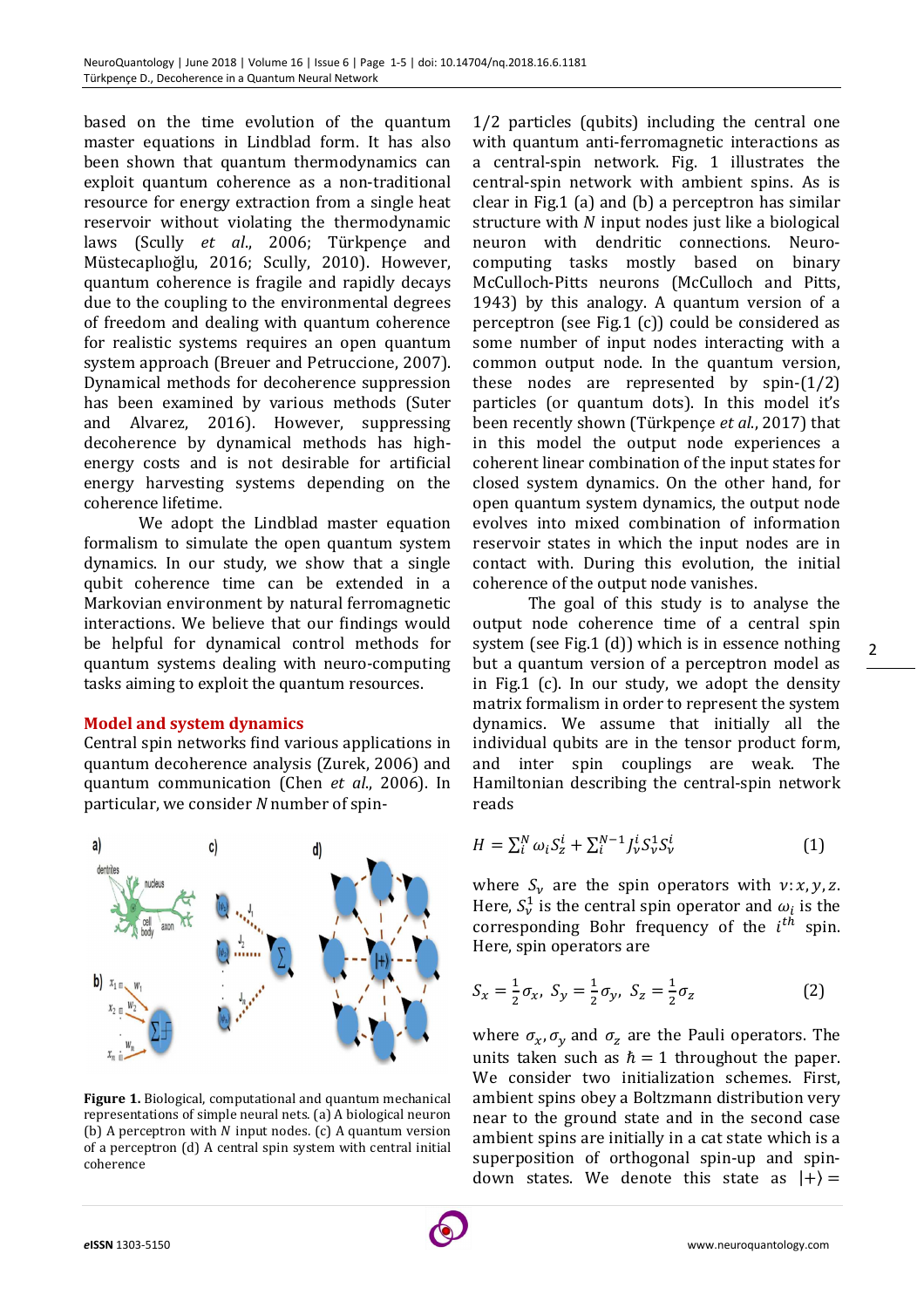based on the time evolution of the quantum master equations in Lindblad form. It has also been shown that quantum thermodynamics can exploit quantum coherence as a non-traditional resource for energy extraction from a single heat reservoir without violating the thermodynamic laws (Scully *et al*., 2006; Türkpençe and Müstecaplıoğlu, 2016; Scully, 2010). However, quantum coherence is fragile and rapidly decays due to the coupling to the environmental degrees of freedom and dealing with quantum coherence for realistic systems requires an open quantum system approach (Breuer and Petruccione, 2007). Dynamical methods for decoherence suppression has been examined by various methods (Suter and Alvarez, 2016). However, suppressing decoherence by dynamical methods has highenergy costs and is not desirable for artificial energy harvesting systems depending on the coherence lifetime.

We adopt the Lindblad master equation formalism to simulate the open quantum system dynamics. In our study, we show that a single qubit coherence time can be extended in a Markovian environment by natural ferromagnetic interactions. We believe that our findings would be helpful for dynamical control methods for quantum systems dealing with neuro-computing tasks aiming to exploit the quantum resources.

## **Model and system dynamics**

Central spin networks find various applications in quantum decoherence analysis (Zurek, 2006) and quantum communication (Chen *et al*., 2006). In particular, we consider *N* number of spin-



**Figure 1.** Biological, computational and quantum mechanical representations of simple neural nets. (a) A biological neuron (b) A perceptron with  $N$  input nodes. (c) A quantum version of a perceptron (d) A central spin system with central initial coherence

1/2 particles (qubits) including the central one with quantum anti-ferromagnetic interactions as a central-spin network. Fig. 1 illustrates the central-spin network with ambient spins. As is clear in Fig.1 (a) and (b) a perceptron has similar structure with  $N$  input nodes just like a biological neuron with dendritic connections. Neurocomputing tasks mostly based on binary McCulloch-Pitts neurons (McCulloch and Pitts, 1943) by this analogy. A quantum version of a perceptron (see Fig.1 (c)) could be considered as some number of input nodes interacting with a common output node. In the quantum version, these nodes are represented by spin-(1/2) particles (or quantum dots). In this model it's been recently shown (Türkpençe *et al*., 2017) that in this model the output node experiences a coherent linear combination of the input states for closed system dynamics. On the other hand, for open quantum system dynamics, the output node evolves into mixed combination of information reservoir states in which the input nodes are in contact with. During this evolution, the initial coherence of the output node vanishes.

The goal of this study is to analyse the output node coherence time of a central spin system (see Fig.1 (d)) which is in essence nothing but a quantum version of a perceptron model as in Fig.1 (c). In our study, we adopt the density matrix formalism in order to represent the system dynamics. We assume that initially all the individual qubits are in the tensor product form, and inter spin couplings are weak. The Hamiltonian describing the central-spin network reads

$$
H = \sum_{i}^{N} \omega_i S_z^i + \sum_{i}^{N-1} J_{\nu}^i S_{\nu}^1 S_{\nu}^i
$$
 (1)

where  $S_v$  are the spin operators with  $v: x, y, z$ . Here,  $S_v^1$  is the central spin operator and  $\omega_i$  is the corresponding Bohr frequency of the  $i^{th}$  spin. Here, spin operators are

$$
S_x = \frac{1}{2}\sigma_x, \ S_y = \frac{1}{2}\sigma_y, \ S_z = \frac{1}{2}\sigma_z \tag{2}
$$

where  $\sigma_x$ ,  $\sigma_y$  and  $\sigma_z$  are the Pauli operators. The units taken such as  $\hbar = 1$  throughout the paper. We consider two initialization schemes. First, ambient spins obey a Boltzmann distribution very near to the ground state and in the second case ambient spins are initially in a cat state which is a superposition of orthogonal spin-up and spindown states. We denote this state as  $|+\rangle =$ 

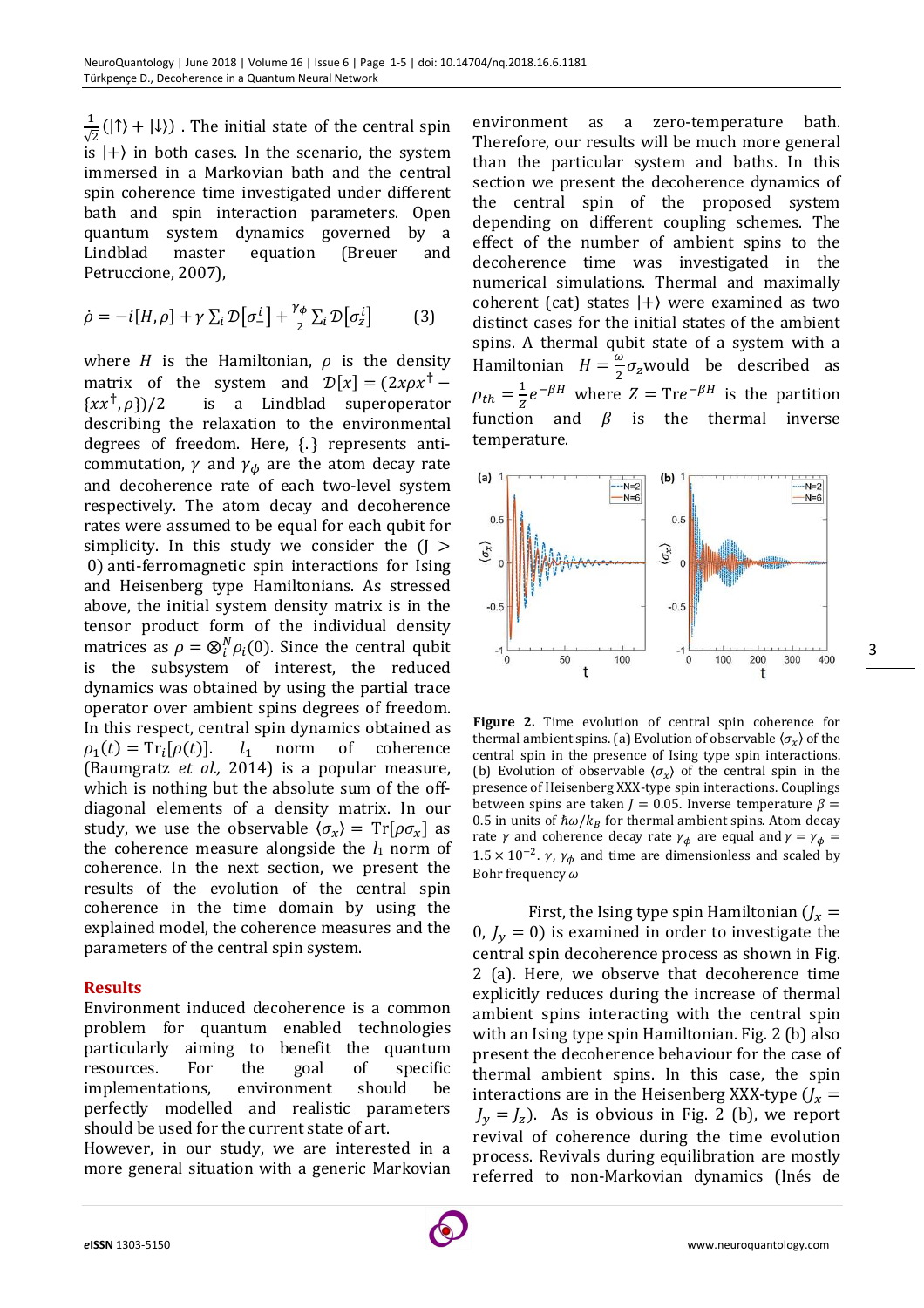$\mathbf{1}$  $\frac{1}{\sqrt{2}}(|\uparrow\rangle + |\downarrow\rangle)$ . The initial state of the central spin is  $|+\rangle$  in both cases. In the scenario, the system immersed in a Markovian bath and the central spin coherence time investigated under different bath and spin interaction parameters. Open quantum system dynamics governed by a Lindblad master equation (Breuer and Petruccione, 2007),

$$
\dot{\rho} = -i[H, \rho] + \gamma \sum_{i} \mathcal{D}[\sigma_{-}^{i}] + \frac{\gamma_{\phi}}{2} \sum_{i} \mathcal{D}[\sigma_{z}^{i}] \tag{3}
$$

where  $H$  is the Hamiltonian,  $\rho$  is the density matrix of the system and  $\mathcal{D}[x] = (2x\rho x^{\dagger} \{xx^{\dagger}, \rho\}$ /2 is a Lindblad superoperator describing the relaxation to the environmental degrees of freedom. Here, {. } represents anticommutation,  $\gamma$  and  $\gamma_{\phi}$  are the atom decay rate and decoherence rate of each two-level system respectively. The atom decay and decoherence rates were assumed to be equal for each qubit for simplicity. In this study we consider the  $(J >$  0) anti-ferromagnetic spin interactions for Ising and Heisenberg type Hamiltonians. As stressed above, the initial system density matrix is in the tensor product form of the individual density matrices as  $\rho = \otimes_i^N \rho_i(0)$ . Since the central qubit is the subsystem of interest, the reduced dynamics was obtained by using the partial trace operator over ambient spins degrees of freedom. In this respect, central spin dynamics obtained as  $\rho_1(t) = \text{Tr}_i$  $l_1$  norm of coherence (Baumgratz *et al.,* 2014) is a popular measure, which is nothing but the absolute sum of the offdiagonal elements of a density matrix. In our study, we use the observable  $\langle \sigma_x \rangle = \text{Tr}[\rho \sigma_x]$  as the coherence measure alongside the  $l_1$  norm of coherence. In the next section, we present the results of the evolution of the central spin coherence in the time domain by using the explained model, the coherence measures and the parameters of the central spin system.

# **Results**

Environment induced decoherence is a common problem for quantum enabled technologies particularly aiming to benefit the quantum resources. For the goal of specific implementations, environment should be perfectly modelled and realistic parameters should be used for the current state of art.

However, in our study, we are interested in a more general situation with a generic Markovian environment as a zero-temperature bath. Therefore, our results will be much more general than the particular system and baths. In this section we present the decoherence dynamics of the central spin of the proposed system depending on different coupling schemes. The effect of the number of ambient spins to the decoherence time was investigated in the numerical simulations. Thermal and maximally coherent (cat) states  $|+\rangle$  were examined as two distinct cases for the initial states of the ambient spins. A thermal qubit state of a system with a Hamiltonian  $H = \frac{\omega}{2} \sigma_z$  would be described as  $\rho_{th} = \frac{1}{z}$  $\frac{1}{Z}e^{-\beta H}$  where  $Z = \text{Tr}e^{-\beta H}$  is the partition function and  $\beta$  is the thermal inverse temperature.



**Figure 2.** Time evolution of central spin coherence for thermal ambient spins. (a) Evolution of observable  $\langle \sigma_x \rangle$  of the central spin in the presence of Ising type spin interactions. (b) Evolution of observable  $\langle \sigma_x \rangle$  of the central spin in the presence of Heisenberg XXX-type spin interactions. Couplings between spins are taken  $J = 0.05$ . Inverse temperature  $\beta =$ 0.5 in units of  $\hbar\omega/k_B$  for thermal ambient spins. Atom decay rate  $\gamma$  and coherence decay rate  $\gamma_{\phi}$  are equal and  $\gamma = \gamma_{\phi} =$  $1.5 \times 10^{-2}$ .  $\gamma$ ,  $\gamma_{\phi}$  and time are dimensionless and scaled by Bohr frequency  $\omega$ 

First, the Ising type spin Hamiltonian  $U_x =$ 0,  $J_y = 0$ ) is examined in order to investigate the central spin decoherence process as shown in Fig. 2 (a). Here, we observe that decoherence time explicitly reduces during the increase of thermal ambient spins interacting with the central spin with an Ising type spin Hamiltonian. Fig. 2 (b) also present the decoherence behaviour for the case of thermal ambient spins. In this case, the spin interactions are in the Heisenberg XXX-type  $U_x =$  $J_y = J_z$ ). As is obvious in Fig. 2 (b), we report revival of coherence during the time evolution process. Revivals during equilibration are mostly referred to non-Markovian dynamics (Inés de

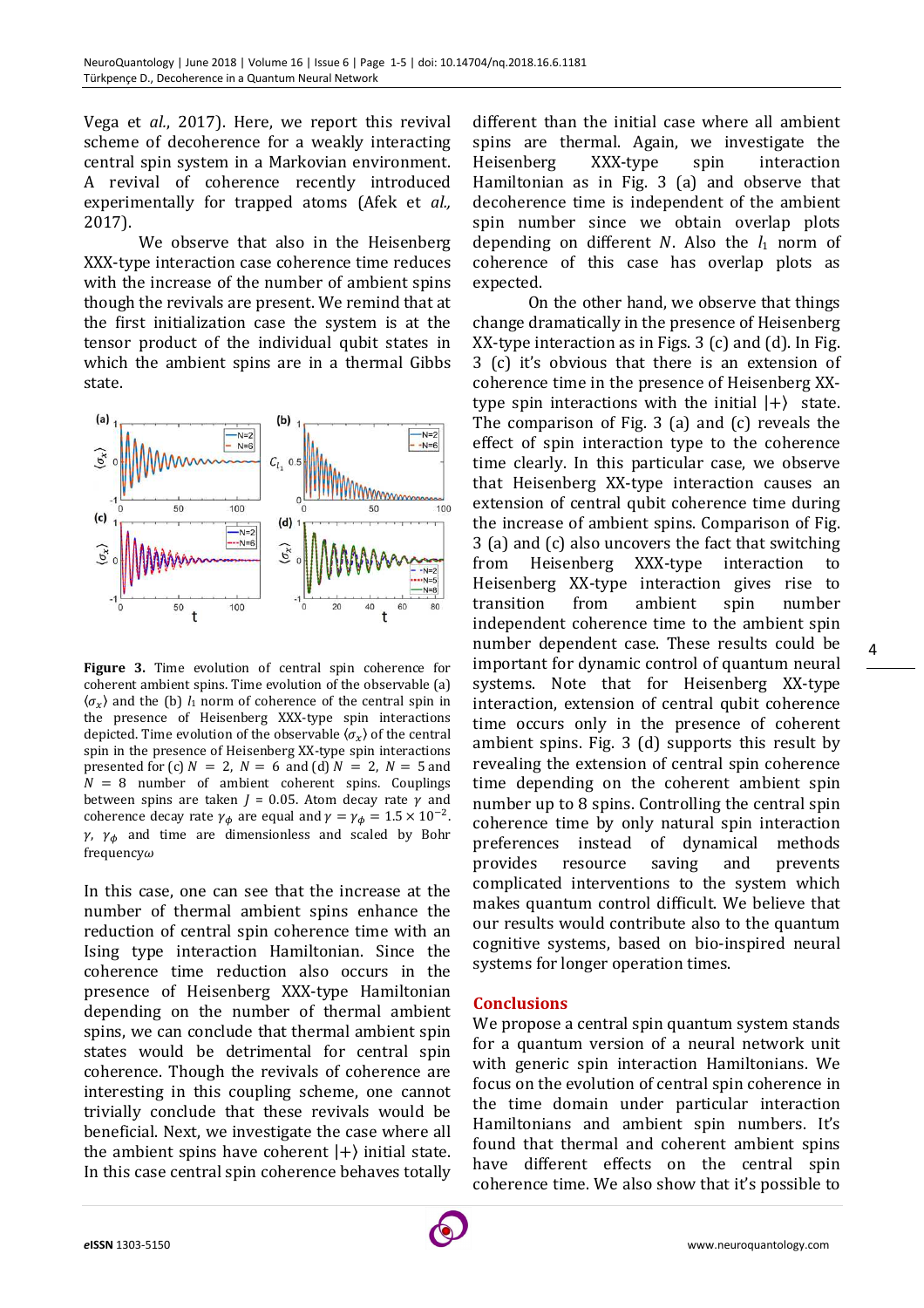Vega et *al.*, 2017). Here, we report this revival scheme of decoherence for a weakly interacting central spin system in a Markovian environment. A revival of coherence recently introduced experimentally for trapped atoms (Afek et *al.,* 2017).

 We observe that also in the Heisenberg XXX-type interaction case coherence time reduces with the increase of the number of ambient spins though the revivals are present. We remind that at the first initialization case the system is at the tensor product of the individual qubit states in which the ambient spins are in a thermal Gibbs state.



**Figure 3.** Time evolution of central spin coherence for coherent ambient spins. Time evolution of the observable (a)  $\langle \sigma_x \rangle$  and the (b)  $l_1$  norm of coherence of the central spin in the presence of Heisenberg XXX-type spin interactions depicted. Time evolution of the observable  $\langle \sigma_x \rangle$  of the central spin in the presence of Heisenberg XX-type spin interactions presented for (c)  $N = 2$ ,  $N = 6$  and (d)  $N = 2$ ,  $N = 5$  and  $N = 8$  number of ambient coherent spins. Couplings between spins are taken  $J = 0.05$ . Atom decay rate  $\gamma$  and coherence decay rate  $\gamma_{\phi}$  are equal and  $\gamma = \gamma_{\phi} = 1.5 \times 10^{-2}$ .  $\gamma$ ,  $\gamma_{\phi}$  and time are dimensionless and scaled by Bohr  $f$ requency $\omega$ 

In this case, one can see that the increase at the number of thermal ambient spins enhance the reduction of central spin coherence time with an Ising type interaction Hamiltonian. Since the coherence time reduction also occurs in the presence of Heisenberg XXX-type Hamiltonian depending on the number of thermal ambient spins, we can conclude that thermal ambient spin states would be detrimental for central spin coherence. Though the revivals of coherence are interesting in this coupling scheme, one cannot trivially conclude that these revivals would be beneficial. Next, we investigate the case where all the ambient spins have coherent  $|+\rangle$  initial state. In this case central spin coherence behaves totally

different than the initial case where all ambient spins are thermal. Again, we investigate the Heisenberg XXX-type spin interaction Hamiltonian as in Fig. 3 (a) and observe that decoherence time is independent of the ambient spin number since we obtain overlap plots depending on different  $N$ . Also the  $l_1$  norm of coherence of this case has overlap plots as expected.

On the other hand, we observe that things change dramatically in the presence of Heisenberg XX-type interaction as in Figs. 3 (c) and (d). In Fig. 3 (c) it's obvious that there is an extension of coherence time in the presence of Heisenberg XXtype spin interactions with the initial  $|+\rangle$  state. The comparison of Fig. 3 (a) and (c) reveals the effect of spin interaction type to the coherence time clearly. In this particular case, we observe that Heisenberg XX-type interaction causes an extension of central qubit coherence time during the increase of ambient spins. Comparison of Fig. 3 (a) and (c) also uncovers the fact that switching from Heisenberg XXX-type interaction to Heisenberg XX-type interaction gives rise to transition from ambient spin number independent coherence time to the ambient spin number dependent case. These results could be important for dynamic control of quantum neural systems. Note that for Heisenberg XX-type interaction, extension of central qubit coherence time occurs only in the presence of coherent ambient spins. Fig. 3 (d) supports this result by revealing the extension of central spin coherence time depending on the coherent ambient spin number up to 8 spins. Controlling the central spin coherence time by only natural spin interaction preferences instead of dynamical methods provides resource saving and prevents complicated interventions to the system which makes quantum control difficult. We believe that our results would contribute also to the quantum cognitive systems, based on bio-inspired neural systems for longer operation times.

## **Conclusions**

We propose a central spin quantum system stands for a quantum version of a neural network unit with generic spin interaction Hamiltonians. We focus on the evolution of central spin coherence in the time domain under particular interaction Hamiltonians and ambient spin numbers. It's found that thermal and coherent ambient spins have different effects on the central spin coherence time. We also show that it's possible to